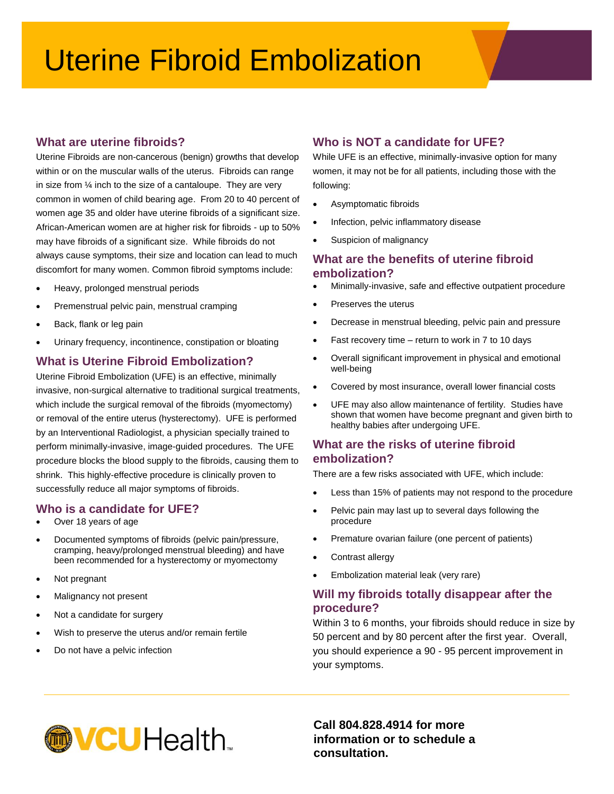# Uterine Fibroid Embolization

## **What are uterine fibroids?**

Uterine Fibroids are non-cancerous (benign) growths that develop within or on the muscular walls of the uterus. Fibroids can range in size from ¼ inch to the size of a cantaloupe. They are very common in women of child bearing age. From 20 to 40 percent of women age 35 and older have uterine fibroids of a significant size. African-American women are at higher risk for fibroids - up to 50% may have fibroids of a significant size. While fibroids do not always cause symptoms, their size and location can lead to much discomfort for many women. Common fibroid symptoms include:

- Heavy, prolonged menstrual periods
- Premenstrual pelvic pain, menstrual cramping
- Back, flank or leg pain
- Urinary frequency, incontinence, constipation or bloating

#### **What is Uterine Fibroid Embolization?**

Uterine Fibroid Embolization (UFE) is an effective, minimally invasive, non-surgical alternative to traditional surgical treatments, which include the surgical removal of the fibroids (myomectomy) or removal of the entire uterus (hysterectomy). UFE is performed by an Interventional Radiologist, a physician specially trained to perform minimally-invasive, image-guided procedures. The UFE procedure blocks the blood supply to the fibroids, causing them to shrink. This highly-effective procedure is clinically proven to successfully reduce all major symptoms of fibroids.

## **Who is a candidate for UFE?**

- Over 18 years of age
- Documented symptoms of fibroids (pelvic pain/pressure, cramping, heavy/prolonged menstrual bleeding) and have been recommended for a hysterectomy or myomectomy
- Not pregnant
- Malignancy not present
- Not a candidate for surgery
- Wish to preserve the uterus and/or remain fertile
- Do not have a pelvic infection

# **Who is NOT a candidate for UFE?**

While UFE is an effective, minimally-invasive option for many women, it may not be for all patients, including those with the following:

- Asymptomatic fibroids
- Infection, pelvic inflammatory disease
- Suspicion of malignancy

## **What are the benefits of uterine fibroid embolization?**

- Minimally-invasive, safe and effective outpatient procedure
- Preserves the uterus
- Decrease in menstrual bleeding, pelvic pain and pressure
- Fast recovery time return to work in 7 to 10 days
- Overall significant improvement in physical and emotional well-being
- Covered by most insurance, overall lower financial costs
- UFE may also allow maintenance of fertility. Studies have shown that women have become pregnant and given birth to healthy babies after undergoing UFE.

## **What are the risks of uterine fibroid embolization?**

There are a few risks associated with UFE, which include:

- Less than 15% of patients may not respond to the procedure
- Pelvic pain may last up to several days following the procedure
- Premature ovarian failure (one percent of patients)
- Contrast allergy
- Embolization material leak (very rare)

## **Will my fibroids totally disappear after the procedure?**

Within 3 to 6 months, your fibroids should reduce in size by 50 percent and by 80 percent after the first year. Overall, you should experience a 90 - 95 percent improvement in your symptoms.



**Call 804.828.4914 for more information or to schedule a consultation.**